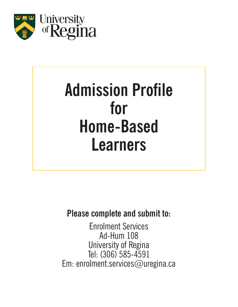

# **Admission Profile for Home-Based Learners**

**Please complete and submit to:**

Enrolment Services Ad-Hum 108 University of Regina Tel: (306) 585-4591 Em: enrolment.services@uregina.ca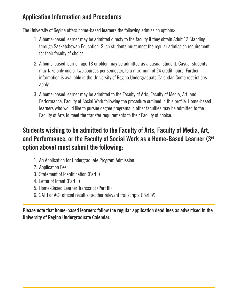### **Application Information and Procedures**

The University of Regina offers home-based learners the following admission options:

- 1. A home-based learner may be admitted directy to the faculty if they obtain Adult 12 Standing through Saskatchewan Education. Such students must meet the regular admission requirement for their faculty of choice.
- 2. A home-based learner, age 18 or older, may be admitted as a casual student. Casual students may take only one or two courses per semester, to a maximum of 24 credit hours. Further information is available in the University of Regina Undergraduate Calendar. Some restrictions apply.
- 3. A home-based learner may be admitted to the Faculty of Arts, Faculty of Media, Art, and Performance, Faculty of Social Work following the procedure outlined in this profile. Home-based learners who would like to pursue degree programs in other faculties may be admitted to the Faculty of Arts to meet the transfer requirements to their Faculty of choice.

## **Students wishing to be admitted to the Faculty of Arts, Faculty of Media, Art, and Performance, or the Faculty of Social Work as a Home-Based Learner (3rd option above) must submit the following:**

- 1. An Application for Undergraduate Program Admission
- 2. Application Fee
- Statement of Identification (Part I) 3.
- Letter of Intent (Part II) 4.
- 5. Home-Based Learner Transcript (Part III)
- 6. SAT I or ACT official result slip/other relevant transcripts (Part IV)

**Please note that home-based learners follow the regular application deadlines as advertised in the University of Regina Undergraduate Calendar.**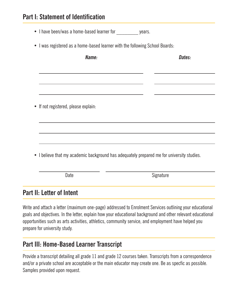#### **Part I: Statement of Identification**

- I have been/was a home-based learner for years.
- I was registered as a home-based learner with the following School Boards:

| Name:                                                                                      | Dates:    |
|--------------------------------------------------------------------------------------------|-----------|
|                                                                                            |           |
|                                                                                            |           |
|                                                                                            |           |
| • If not registered, please explain:                                                       |           |
|                                                                                            |           |
|                                                                                            |           |
|                                                                                            |           |
| • I believe that my academic background has adequately prepared me for university studies. |           |
|                                                                                            |           |
| Date                                                                                       | Signature |

#### **Part II: Letter of Intent**

Write and attach a letter (maximum one-page) addressed to Enrolment Services outlining your educational goals and objectives. In the letter, explain how your educational background and other relevant educational opportunities such as arts activities, athletics, community service, and employment have helped you prepare for university study.

#### **Part III: Home-Based Learner Transcript**

Provide a transcript detailing all grade 11 and grade 12 courses taken. Transcripts from a correspondence and/or a private school are acceptable or the main educator may create one. Be as specfic as possible. Samples provided upon request.